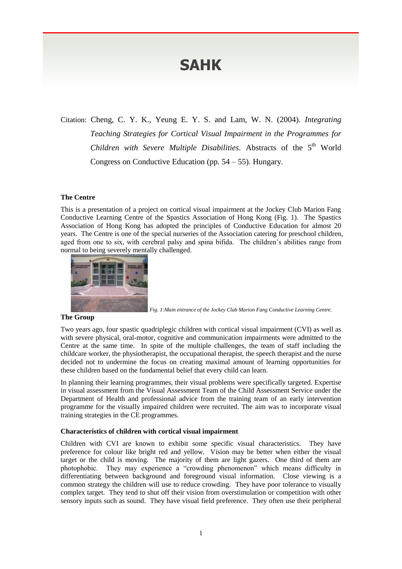# **SAHK**

Citation: Cheng, C. Y. K., Yeung E. Y. S. and Lam, W. N. (2004). *Integrating Teaching Strategies for Cortical Visual Impairment in the Programmes for*  Children with Severe Multiple Disabilities. Abstracts of the 5<sup>th</sup> World Congress on Conductive Education (pp. 54 – 55). Hungary.

# **The Centre**

This is a presentation of a project on cortical visual impairment at the Jockey Club Marion Fang Conductive Learning Centre of the Spastics Association of Hong Kong (Fig. 1). The Spastics Association of Hong Kong has adopted the principles of Conductive Education for almost 20 years. The Centre is one of the special nurseries of the Association catering for preschool children, aged from one to six, with cerebral palsy and spina bifida. The children's abilities range from normal to being severely mentally challenged.



*Fig. 1:Main entrance of the Jockey Club Marion Fang Conductive Learning Centre.*

## **The Group**

Two years ago, four spastic quadriplegic children with cortical visual impairment (CVI) as well as with severe physical, oral-motor, cognitive and communication impairments were admitted to the Centre at the same time. In spite of the multiple challenges, the team of staff including the childcare worker, the physiotherapist, the occupational therapist, the speech therapist and the nurse decided not to undermine the focus on creating maximal amount of learning opportunities for these children based on the fundamental belief that every child can learn.

In planning their learning programmes, their visual problems were specifically targeted. Expertise in visual assessment from the Visual Assessment Team of the Child Assessment Service under the Department of Health and professional advice from the training team of an early intervention programme for the visually impaired children were recruited. The aim was to incorporate visual training strategies in the CE programmes.

### **Characteristics of children with cortical visual impairment**

Children with CVI are known to exhibit some specific visual characteristics. They have preference for colour like bright red and yellow. Vision may be better when either the visual target or the child is moving. The majority of them are light gazers. One third of them are photophobic. They may experience a "crowding phenomenon" which means difficulty in differentiating between background and foreground visual information. Close viewing is a common strategy the children will use to reduce crowding. They have poor tolerance to visually complex target. They tend to shut off their vision from overstimulation or competition with other sensory inputs such as sound. They have visual field preference. They often use their peripheral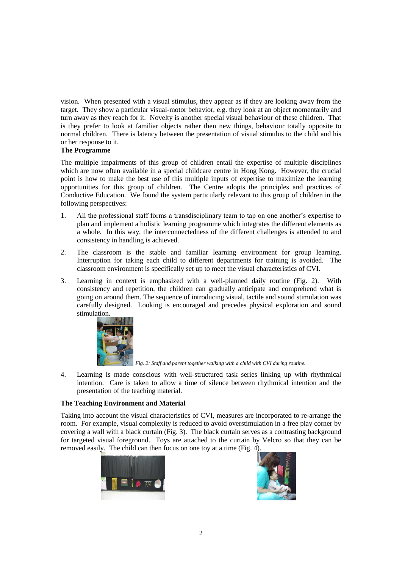vision. When presented with a visual stimulus, they appear as if they are looking away from the target. They show a particular visual-motor behavior, e.g. they look at an object momentarily and turn away as they reach for it. Novelty is another special visual behaviour of these children. That is they prefer to look at familiar objects rather then new things, behaviour totally opposite to normal children. There is latency between the presentation of visual stimulus to the child and his or her response to it.

# **The Programme**

The multiple impairments of this group of children entail the expertise of multiple disciplines which are now often available in a special childcare centre in Hong Kong. However, the crucial point is how to make the best use of this multiple inputs of expertise to maximize the learning opportunities for this group of children. The Centre adopts the principles and practices of Conductive Education. We found the system particularly relevant to this group of children in the following perspectives:

- 1. All the professional staff forms a transdisciplinary team to tap on one another's expertise to plan and implement a holistic learning programme which integrates the different elements as a whole. In this way, the interconnectedness of the different challenges is attended to and consistency in handling is achieved.
- 2. The classroom is the stable and familiar learning environment for group learning. Interruption for taking each child to different departments for training is avoided. The classroom environment is specifically set up to meet the visual characteristics of CVI.
- 3. Learning in context is emphasized with a well-planned daily routine (Fig. 2). With consistency and repetition, the children can gradually anticipate and comprehend what is going on around them. The sequence of introducing visual, tactile and sound stimulation was carefully designed. Looking is encouraged and precedes physical exploration and sound stimulation.



*Fig. 2: Staff and parent together walking with a child with CVI during routine.*

4. Learning is made conscious with well-structured task series linking up with rhythmical intention. Care is taken to allow a time of silence between rhythmical intention and the presentation of the teaching material.

# **The Teaching Environment and Material**

Taking into account the visual characteristics of CVI, measures are incorporated to re-arrange the room. For example, visual complexity is reduced to avoid overstimulation in a free play corner by covering a wall with a black curtain (Fig. 3). The black curtain serves as a contrasting background for targeted visual foreground. Toys are attached to the curtain by Velcro so that they can be removed easily. The child can then focus on one toy at a time (Fig. 4).



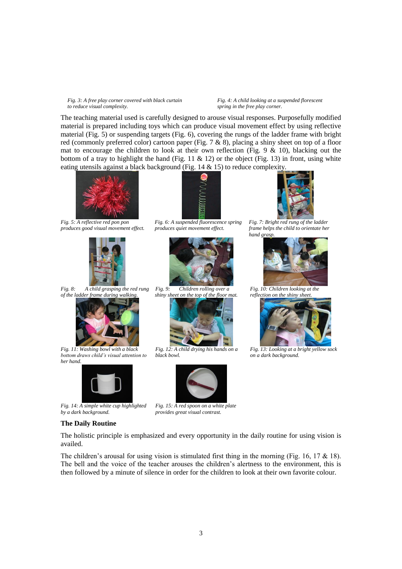#### *Fig. 3: A free play corner covered with black curtain to reduce visual complexity.*

#### *Fig. 4: A child looking at a suspended florescent spring in the free play corner.*

The teaching material used is carefully designed to arouse visual responses. Purposefully modified material is prepared including toys which can produce visual movement effect by using reflective material (Fig. 5) or suspending targets (Fig. 6), covering the rungs of the ladder frame with bright red (commonly preferred color) cartoon paper (Fig. 7 & 8), placing a shiny sheet on top of a floor mat to encourage the children to look at their own reflection (Fig.  $9 \& 10$ ), blacking out the bottom of a tray to highlight the hand (Fig. 11  $\&$  12) or the object (Fig. 13) in front, using white eating utensils against a black background (Fig. 14 & 15) to reduce complexity.



*Fig. 5: A reflective red pon pon produces good visual movement effect.*



*Fig. 8: A child grasping the red rung of the ladder frame during walking.*



*Fig. 11: Washing bowl with a black bottom draws child's visual attention to her hand.*



*Fig. 14: A simple white cup highlighted by a dark background.*

#### **The Daily Routine**



*Fig. 6: A suspended fluorescence spring produces quiet movement effect.*



*Fig. 9: Children rolling over a shiny sheet on the top of the floor mat.*



*Fig. 12: A child drying his hands on a black bowl.*



*Fig. 15: A red spoon on a white plate provides great visual contrast.*



*Fig. 7: Bright red rung of the ladder frame helps the child to orientate her hand grasp.*



*Fig. 10: Children looking at the reflection on the shiny sheet.*



*Fig. 13: Looking at a bright yellow sock on a dark background.*

The holistic principle is emphasized and every opportunity in the daily routine for using vision is availed.

The children's arousal for using vision is stimulated first thing in the morning (Fig. 16, 17  $\&$  18). The bell and the voice of the teacher arouses the children's alertness to the environment, this is then followed by a minute of silence in order for the children to look at their own favorite colour.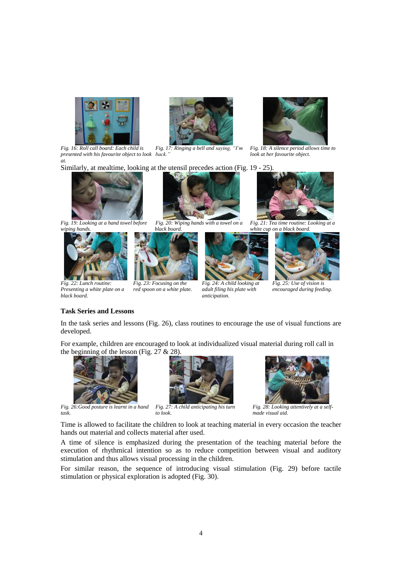

*Fig. 16: Roll call board: Each child is presented with his favourite object to look back." at.*



*Fig. 17: Ringing a bell and saying, "I'm* 

Similarly, at mealtime, looking at the utensil precedes action (Fig. 19 - 25).



*Fig. 19: Looking at a hand towel before wiping hands.*





*Fig. 20: Wiping hands with a towel on a black board.*



*to look.*

*Fig. 23: Focusing on the red spoon on a white plate. adult filing his plate with* 

*anticipation.*



*Fig. 18: A silence period allows time to look at her favourite object.*



*Fig. 21: Tea time routine: Looking at a white cup on a black board.*





*Fig. 25: Use of vision is encouraged during feeding.*

# **Task Series and Lessons**

*Presenting a white plate on a* 

*black board.*

In the task series and lessons (Fig. 26), class routines to encourage the use of visual functions are developed.

For example, children are encouraged to look at individualized visual material during roll call in the beginning of the lesson (Fig.  $27 & 28$ ).



*Fig. 26:Good posture is learnt in a hand task.*



*Fig. 27: A child anticipating his turn* 

*Fig. 28: Looking attentively at a selfmade visual aid.*

Time is allowed to facilitate the children to look at teaching material in every occasion the teacher hands out material and collects material after used.

A time of silence is emphasized during the presentation of the teaching material before the execution of rhythmical intention so as to reduce competition between visual and auditory stimulation and thus allows visual processing in the children.

For similar reason, the sequence of introducing visual stimulation (Fig. 29) before tactile stimulation or physical exploration is adopted (Fig. 30).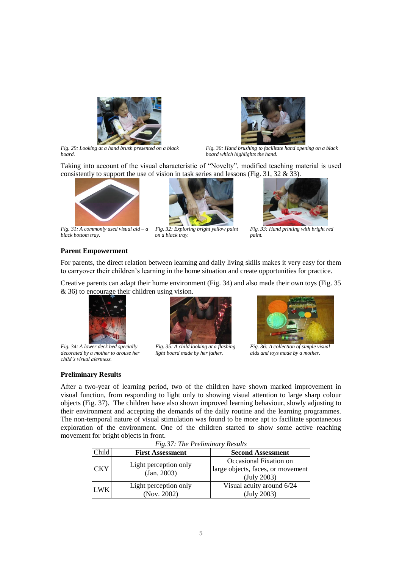



*Fig. 29: Looking at a hand brush presented on a black board.*

*Fig. 30: Hand brushing to facilitate hand opening on a black board which highlights the hand.*

Taking into account of the visual characteristic of "Novelty", modified teaching material is used consistently to support the use of vision in task series and lessons (Fig. 31, 32 & 33).







*Fig. 32: Exploring bright yellow paint on a black tray.*



*Fig. 33: Hand printing with bright red paint.*

# **Parent Empowerment**

For parents, the direct relation between learning and daily living skills makes it very easy for them to carryover their children's learning in the home situation and create opportunities for practice.

Creative parents can adapt their home environment (Fig. 34) and also made their own toys (Fig. 35 & 36) to encourage their children using vision.



*Fig. 34: A lower deck bed specially decorated by a mother to arouse her child's visual alertness.*





*Fig. 36: A collection of simple visual aids and toys made by a mother.*

# **Preliminary Results**

After a two-year of learning period, two of the children have shown marked improvement in visual function, from responding to light only to showing visual attention to large sharp colour objects (Fig. 37). The children have also shown improved learning behaviour, slowly adjusting to their environment and accepting the demands of the daily routine and the learning programmes. The non-temporal nature of visual stimulation was found to be more apt to facilitate spontaneous exploration of the environment. One of the children started to show some active reaching movement for bright objects in front.

| <b><i>Fig.37. The Freummary Results</i></b> |                                      |                                                                            |
|---------------------------------------------|--------------------------------------|----------------------------------------------------------------------------|
| Child                                       | <b>First Assessment</b>              | <b>Second Assessment</b>                                                   |
| <b>CKY</b>                                  | Light perception only<br>(Jan. 2003) | Occasional Fixation on<br>large objects, faces, or movement<br>(July 2003) |
| <b>LWK</b>                                  | Light perception only<br>(Nov. 2002) | Visual acuity around 6/24<br>(July 2003)                                   |

*Fig.37: The Preliminary Results*